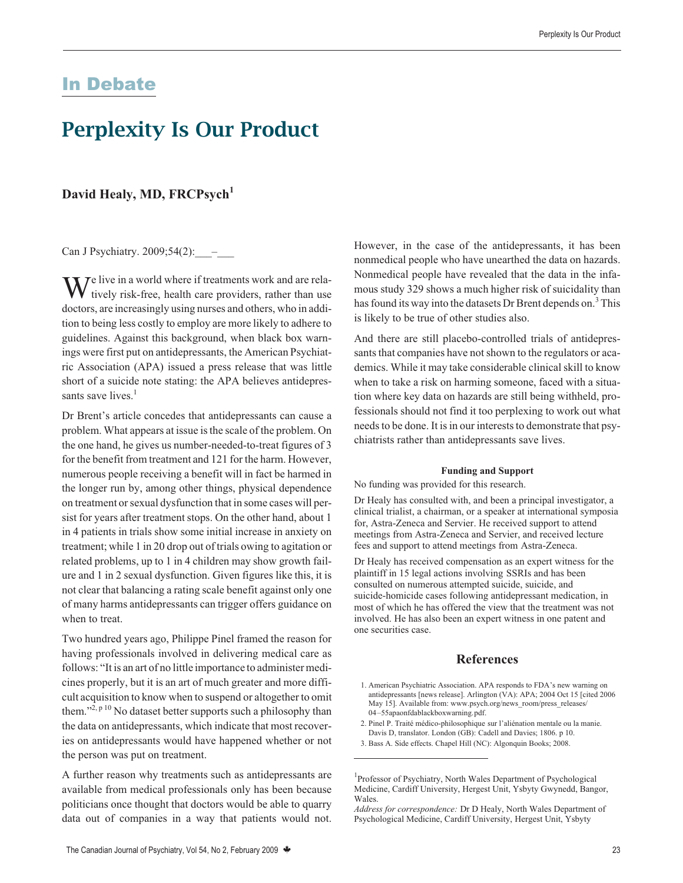## In Debate

# **Perplexity Is Our Product**

### David Healy, MD, FRCPsych<sup>1</sup>

Can J Psychiatry. 2009;54(2): \_\_\_\_

 $\mathbf{W}^{\text{e live in a world where if treatments work and are rela-}$ tively risk-free, health care providers, rather than use doctors, are increasingly using nurses and others, who in addition to being less costly to employ are more likely to adhere to guidelines. Against this background, when black box warnings were first put on antidepressants, the American Psychiatric Association (APA) issued a press release that was little short of a suicide note stating: the APA believes antidepressants save lives.<sup>1</sup>

Dr Brent's article concedes that antidepressants can cause a problem. What appears at issue is the scale of the problem. On the one hand, he gives us number-needed-to-treat figures of 3 for the benefit from treatment and 121 for the harm. However, numerous people receiving a benefit will in fact be harmed in the longer run by, among other things, physical dependence on treatment or sexual dysfunction that in some cases will persist for years after treatment stops. On the other hand, about 1 in 4 patients in trials show some initial increase in anxiety on treatment; while 1 in 20 drop out of trials owing to agitation or related problems, up to 1 in 4 children may show growth failure and 1 in 2 sexual dysfunction. Given figures like this, it is not clear that balancing a rating scale benefit against only one of many harms antidepressants can trigger offers guidance on when to treat.

Two hundred years ago, Philippe Pinel framed the reason for having professionals involved in delivering medical care as follows: "It is an art of no little importance to administer medicines properly, but it is an art of much greater and more difficult acquisition to know when to suspend or altogether to omit them."<sup>2, p 10</sup> No dataset better supports such a philosophy than the data on antidepressants, which indicate that most recoveries on antidepressants would have happened whether or not the person was put on treatment.

A further reason why treatments such as antidepressants are available from medical professionals only has been because politicians once thought that doctors would be able to quarry data out of companies in a way that patients would not.

However, in the case of the antidepressants, it has been nonmedical people who have unearthed the data on hazards. Nonmedical people have revealed that the data in the infamous study 329 shows a much higher risk of suicidality than has found its way into the datasets Dr Brent depends on.<sup>3</sup> This is likely to be true of other studies also.

And there are still placebo-controlled trials of antidepressants that companies have not shown to the regulators or academics. While it may take considerable clinical skill to know when to take a risk on harming someone, faced with a situation where key data on hazards are still being withheld, professionals should not find it too perplexing to work out what needs to be done. It is in our interests to demonstrate that psychiatrists rather than antidepressants save lives.

#### **Funding and Support**

No funding was provided for this research.

Dr Healy has consulted with, and been a principal investigator, a clinical trialist, a chairman, or a speaker at international symposia for, Astra-Zeneca and Servier. He received support to attend meetings from Astra-Zeneca and Servier, and received lecture fees and support to attend meetings from Astra-Zeneca.

Dr Healy has received compensation as an expert witness for the plaintiff in 15 legal actions involving SSRIs and has been consulted on numerous attempted suicide, suicide, and suicide-homicide cases following antidepressant medication, in most of which he has offered the view that the treatment was not involved. He has also been an expert witness in one patent and one securities case.

### **References**

- 1. American Psychiatric Association. APA responds to FDA's new warning on antidepressants [news release]. Arlington (VA): APA; 2004 Oct 15 [cited 2006 May 15]. Available from: www.psych.org/news\_room/press\_releases/ 04–55apaonfdablackboxwarning.pdf.
- 2. Pinel P. Traité médico-philosophique sur l'aliénation mentale ou la manie. Davis D, translator. London (GB): Cadell and Davies; 1806. p 10.
- 3. Bass A. Side effects. Chapel Hill (NC): Algonquin Books; 2008.

<sup>&</sup>lt;sup>1</sup>Professor of Psychiatry, North Wales Department of Psychological Medicine, Cardiff University, Hergest Unit, Ysbyty Gwynedd, Bangor, Wales.

*Address for correspondence:* Dr D Healy, North Wales Department of Psychological Medicine, Cardiff University, Hergest Unit, Ysbyty